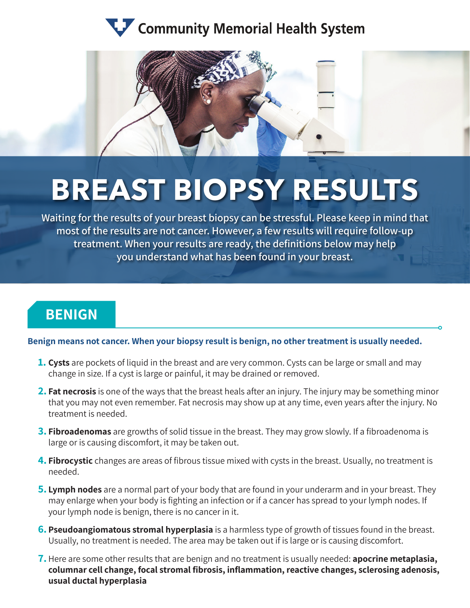## Community Memorial Health System



# **BREAST BIOPSY RESULTS**

**Waiting for the results of your breast biopsy can be stressful. Please keep in mind that most of the results are not cancer. However, a few results will require follow-up treatment. When your results are ready, the definitions below may help you understand what has been found in your breast.** 

## **BENIGN**

#### **Benign means not cancer. When your biopsy result is benign, no other treatment is usually needed.**

- **1. Cysts** are pockets of liquid in the breast and are very common. Cysts can be large or small and may change in size. If a cyst is large or painful, it may be drained or removed.
- **2. Fat necrosis** is one of the ways that the breast heals after an injury. The injury may be something minor that you may not even remember. Fat necrosis may show up at any time, even years after the injury. No treatment is needed.
- **3. Fibroadenomas** are growths of solid tissue in the breast. They may grow slowly. If a fibroadenoma is large or is causing discomfort, it may be taken out.
- **4. Fibrocystic** changes are areas of fibrous tissue mixed with cysts in the breast. Usually, no treatment is needed.
- **5. Lymph nodes** are a normal part of your body that are found in your underarm and in your breast. They may enlarge when your body is fighting an infection or if a cancer has spread to your lymph nodes. If your lymph node is benign, there is no cancer in it.
- **6. Pseudoangiomatous stromal hyperplasia** is a harmless type of growth of tissues found in the breast. Usually, no treatment is needed. The area may be taken out if is large or is causing discomfort.
- **7.** Here are some other results that are benign and no treatment is usually needed: **apocrine metaplasia, columnar cell change, focal stromal fibrosis, inflammation, reactive changes, sclerosing adenosis, usual ductal hyperplasia**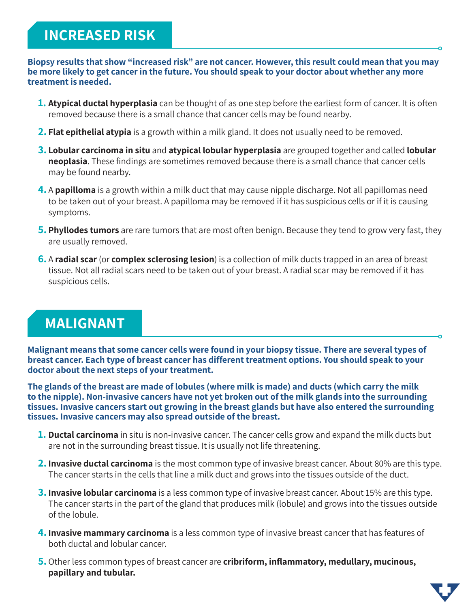## **INCREASED RISK**

**Biopsy results that show "increased risk" are not cancer. However, this result could mean that you may be more likely to get cancer in the future. You should speak to your doctor about whether any more treatment is needed.**

- **1. Atypical ductal hyperplasia** can be thought of as one step before the earliest form of cancer. It is often removed because there is a small chance that cancer cells may be found nearby.
- **2. Flat epithelial atypia** is a growth within a milk gland. It does not usually need to be removed.
- **3. Lobular carcinoma in situ** and **atypical lobular hyperplasia** are grouped together and called **lobular neoplasia**. These findings are sometimes removed because there is a small chance that cancer cells may be found nearby.
- **4.** A **papilloma** is a growth within a milk duct that may cause nipple discharge. Not all papillomas need to be taken out of your breast. A papilloma may be removed if it has suspicious cells or if it is causing symptoms.
- **5. Phyllodes tumors** are rare tumors that are most often benign. Because they tend to grow very fast, they are usually removed.
- **6.** A **radial scar** (or **complex sclerosing lesion**) is a collection of milk ducts trapped in an area of breast tissue. Not all radial scars need to be taken out of your breast. A radial scar may be removed if it has suspicious cells.

### **MALIGNANT**

**Malignant means that some cancer cells were found in your biopsy tissue. There are several types of breast cancer. Each type of breast cancer has different treatment options. You should speak to your doctor about the next steps of your treatment.** 

**The glands of the breast are made of lobules (where milk is made) and ducts (which carry the milk to the nipple). Non-invasive cancers have not yet broken out of the milk glands into the surrounding tissues. Invasive cancers start out growing in the breast glands but have also entered the surrounding tissues. Invasive cancers may also spread outside of the breast.** 

- **1. Ductal carcinoma** in situ is non-invasive cancer. The cancer cells grow and expand the milk ducts but are not in the surrounding breast tissue. It is usually not life threatening.
- **2. Invasive ductal carcinoma** is the most common type of invasive breast cancer. About 80% are this type. The cancer starts in the cells that line a milk duct and grows into the tissues outside of the duct.
- **3. Invasive lobular carcinoma** is a less common type of invasive breast cancer. About 15% are this type. The cancer starts in the part of the gland that produces milk (lobule) and grows into the tissues outside of the lobule.
- **4. Invasive mammary carcinoma** is a less common type of invasive breast cancer that has features of both ductal and lobular cancer.
- **5.** Other less common types of breast cancer are **cribriform, inflammatory, medullary, mucinous, papillary and tubular.**